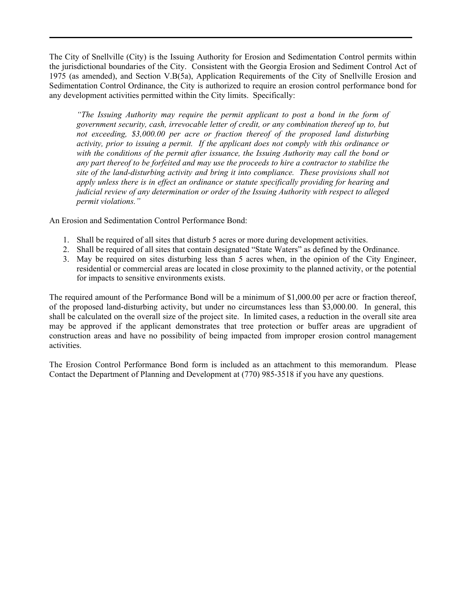The City of Snellville (City) is the Issuing Authority for Erosion and Sedimentation Control permits within the jurisdictional boundaries of the City. Consistent with the Georgia Erosion and Sediment Control Act of 1975 (as amended), and Section V.B(5a), Application Requirements of the City of Snellville Erosion and Sedimentation Control Ordinance, the City is authorized to require an erosion control performance bond for any development activities permitted within the City limits. Specifically:

*"The Issuing Authority may require the permit applicant to post a bond in the form of government security, cash, irrevocable letter of credit, or any combination thereof up to, but not exceeding, \$3,000.00 per acre or fraction thereof of the proposed land disturbing activity, prior to issuing a permit. If the applicant does not comply with this ordinance or with the conditions of the permit after issuance, the Issuing Authority may call the bond or any part thereof to be forfeited and may use the proceeds to hire a contractor to stabilize the site of the land-disturbing activity and bring it into compliance. These provisions shall not apply unless there is in effect an ordinance or statute specifically providing for hearing and judicial review of any determination or order of the Issuing Authority with respect to alleged permit violations."* 

An Erosion and Sedimentation Control Performance Bond:

- 1. Shall be required of all sites that disturb 5 acres or more during development activities.
- 2. Shall be required of all sites that contain designated "State Waters" as defined by the Ordinance.
- 3. May be required on sites disturbing less than 5 acres when, in the opinion of the City Engineer, residential or commercial areas are located in close proximity to the planned activity, or the potential for impacts to sensitive environments exists.

The required amount of the Performance Bond will be a minimum of \$1,000.00 per acre or fraction thereof, of the proposed land-disturbing activity, but under no circumstances less than \$3,000.00. In general, this shall be calculated on the overall size of the project site. In limited cases, a reduction in the overall site area may be approved if the applicant demonstrates that tree protection or buffer areas are upgradient of construction areas and have no possibility of being impacted from improper erosion control management activities.

The Erosion Control Performance Bond form is included as an attachment to this memorandum. Please Contact the Department of Planning and Development at (770) 985-3518 if you have any questions.